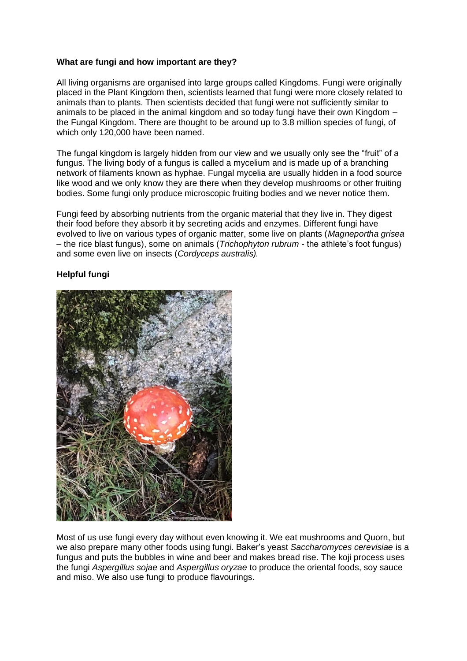## **What are fungi and how important are they?**

All living organisms are organised into large groups called Kingdoms. Fungi were originally placed in the Plant Kingdom then, scientists learned that fungi were more closely related to animals than to plants. Then scientists decided that fungi were not sufficiently similar to animals to be placed in the animal kingdom and so today fungi have their own Kingdom – the Fungal Kingdom. There are thought to be around up to 3.8 million species of fungi, of which only 120,000 have been named.

The fungal kingdom is largely hidden from our view and we usually only see the "fruit" of a fungus. The living body of a fungus is called a mycelium and is made up of a branching network of filaments known as hyphae. Fungal mycelia are usually hidden in a food source like wood and we only know they are there when they develop mushrooms or other fruiting bodies. Some fungi only produce microscopic fruiting bodies and we never notice them.

Fungi feed by absorbing nutrients from the organic material that they live in. They digest their food before they absorb it by secreting acids and enzymes. Different fungi have evolved to live on various types of organic matter, some live on plants (*Magneportha grisea* – the rice blast fungus), some on animals (*Trichophyton rubrum* - the athlete's foot fungus) and some even live on insects (*Cordyceps australis).*

## **Helpful fungi**



Most of us use fungi every day without even knowing it. We eat mushrooms and Quorn, but we also prepare many other foods using fungi. Baker's yeast *Saccharomyces cerevisiae* is a fungus and puts the bubbles in wine and beer and makes bread rise. The koji process uses the fungi *Aspergillus sojae* and *Aspergillus oryzae* to produce the oriental foods, soy sauce and miso. We also use fungi to produce flavourings.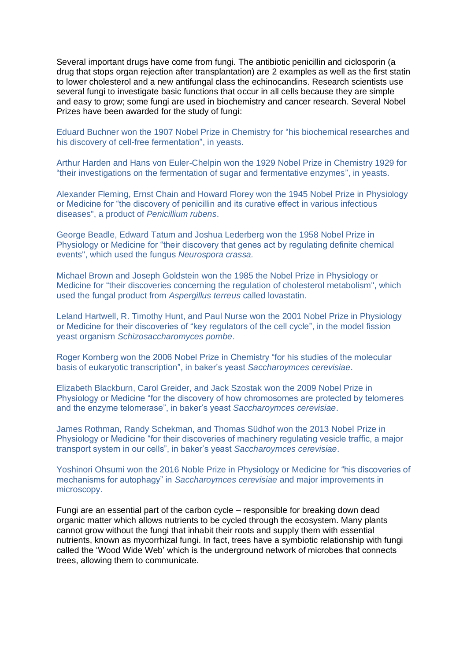Several important drugs have come from fungi. The antibiotic penicillin and ciclosporin (a drug that stops organ rejection after transplantation) are 2 examples as well as the first statin to lower cholesterol and a new antifungal class the echinocandins. Research scientists use several fungi to investigate basic functions that occur in all cells because they are simple and easy to grow; some fungi are used in biochemistry and cancer research. Several Nobel Prizes have been awarded for the study of fungi:

Eduard Buchner won the 1907 Nobel Prize in Chemistry for "his biochemical researches and his discovery of cell-free fermentation", in yeasts.

Arthur Harden and Hans von Euler-Chelpin won the 1929 Nobel Prize in Chemistry 1929 for "their investigations on the fermentation of sugar and fermentative enzymes", in yeasts.

Alexander Fleming, Ernst Chain and Howard Florey won the 1945 Nobel Prize in Physiology or Medicine for "the discovery of penicillin and its curative effect in various infectious diseases", a product of *Penicillium rubens*.

George Beadle, Edward Tatum and Joshua Lederberg won the 1958 Nobel Prize in Physiology or Medicine for "their discovery that genes act by regulating definite chemical events", which used the fungus *Neurospora crassa.*

Michael Brown and Joseph Goldstein won the 1985 the Nobel Prize in Physiology or Medicine for "their discoveries concerning the regulation of cholesterol metabolism", which used the fungal product from *Aspergillus terreus* called lovastatin.

Leland Hartwell, R. Timothy Hunt, and Paul Nurse won the 2001 Nobel Prize in Physiology or Medicine for their discoveries of "key regulators of the cell cycle", in the model fission yeast organism *Schizosaccharomyces pombe*.

Roger Kornberg won the 2006 Nobel Prize in Chemistry "for his studies of the molecular basis of eukaryotic transcription", in baker's yeast *Saccharoymces cerevisiae*.

Elizabeth Blackburn, Carol Greider, and Jack Szostak won the 2009 Nobel Prize in Physiology or Medicine "for the discovery of how chromosomes are protected by telomeres and the enzyme telomerase", in baker's yeast *Saccharoymces cerevisiae*.

James Rothman, Randy Schekman, and Thomas Südhof won the 2013 Nobel Prize in Physiology or Medicine "for their discoveries of machinery regulating vesicle traffic, a major transport system in our cells", in baker's yeast *Saccharoymces cerevisiae*.

Yoshinori Ohsumi won the 2016 Noble Prize in Physiology or Medicine for "his discoveries of mechanisms for autophagy" in *Saccharoymces cerevisiae* and major improvements in microscopy.

Fungi are an essential part of the carbon cycle – responsible for breaking down dead organic matter which allows nutrients to be cycled through the ecosystem. Many plants cannot grow without the fungi that inhabit their roots and supply them with essential nutrients, known as mycorrhizal fungi. In fact, trees have a symbiotic relationship with fungi called the 'Wood Wide Web' which is the underground network of microbes that connects trees, allowing them to communicate.